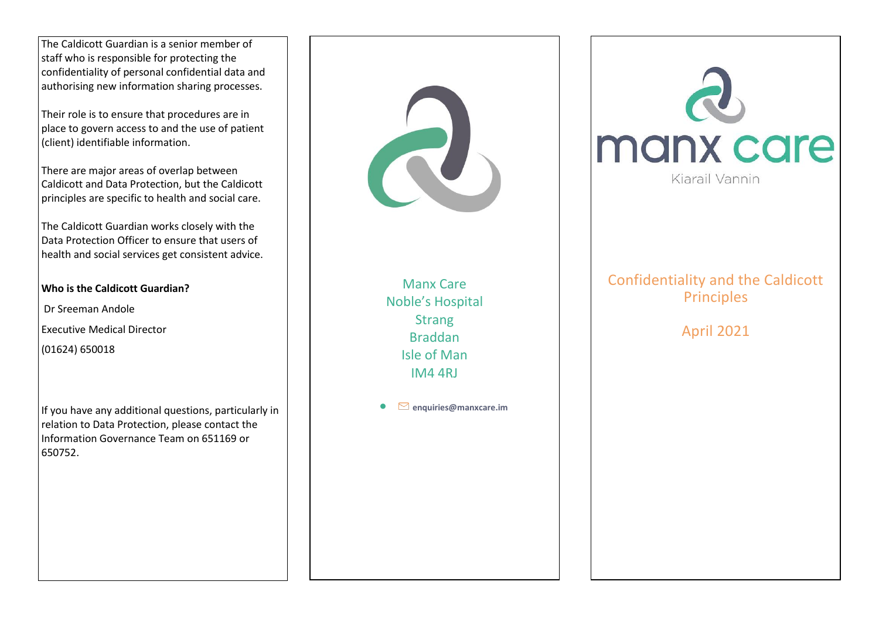The Caldicott Guardian is a senior member of staff who is responsible for protecting the confidentiality of personal confidential data and authorising new information sharing processes.

Their role is to ensure that procedures are in place to govern access to and the use of patient (client) identifiable information.

There are major areas of overlap between Caldicott and Data Protection, but the Caldicott principles are specific to health and social care.

The Caldicott Guardian works closely with the Data Protection Officer to ensure that users of health and social services get consistent advice.

## **Who is the Caldicott Guardian?**

Dr Sreeman Andole

- Executive Medical Director
- (01624) 650018

If you have any additional questions, particularly in relation to Data Protection, please contact the Information Governance Team on 651169 or 650752.

Manx Care Noble's Hospital **Strang** Braddan Isle of Man IM4 4RJ

**enquiries@manxcare.im**



# Confidentiality and the Caldicott **Principles**

April 2021